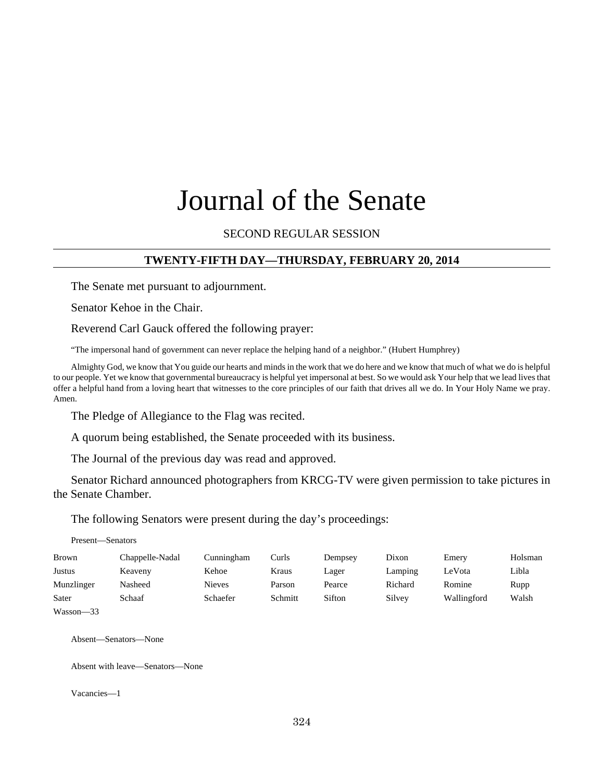# Journal of the Senate

### SECOND REGULAR SESSION

#### **TWENTY-FIFTH DAY—THURSDAY, FEBRUARY 20, 2014**

The Senate met pursuant to adjournment.

Senator Kehoe in the Chair.

Reverend Carl Gauck offered the following prayer:

"The impersonal hand of government can never replace the helping hand of a neighbor." (Hubert Humphrey)

Almighty God, we know that You guide our hearts and minds in the work that we do here and we know that much of what we do is helpful to our people. Yet we know that governmental bureaucracy is helpful yet impersonal at best. So we would ask Your help that we lead lives that offer a helpful hand from a loving heart that witnesses to the core principles of our faith that drives all we do. In Your Holy Name we pray. Amen.

The Pledge of Allegiance to the Flag was recited.

A quorum being established, the Senate proceeded with its business.

The Journal of the previous day was read and approved.

Senator Richard announced photographers from KRCG-TV were given permission to take pictures in the Senate Chamber.

The following Senators were present during the day's proceedings:

Present—Senators

| Brown                 | Chappelle-Nadal | Cunningham    | Curls   | Dempsev | Dixon   | Emery       | Holsman |
|-----------------------|-----------------|---------------|---------|---------|---------|-------------|---------|
| <b>Justus</b>         | Keaveny         | Kehoe         | Kraus   | Lager   | Lamping | LeVota      | Libla   |
| Munzlinger            | Nasheed         | <b>Nieves</b> | Parson  | Pearce  | Richard | Romine      | Rupp    |
| Sater                 | Schaaf          | Schaefer      | Schmitt | Sifton  | Silvey  | Wallingford | Walsh   |
| $-1$<br>$\sim$ $\sim$ |                 |               |         |         |         |             |         |

Wasson—33

Absent—Senators—None

Absent with leave—Senators—None

Vacancies—1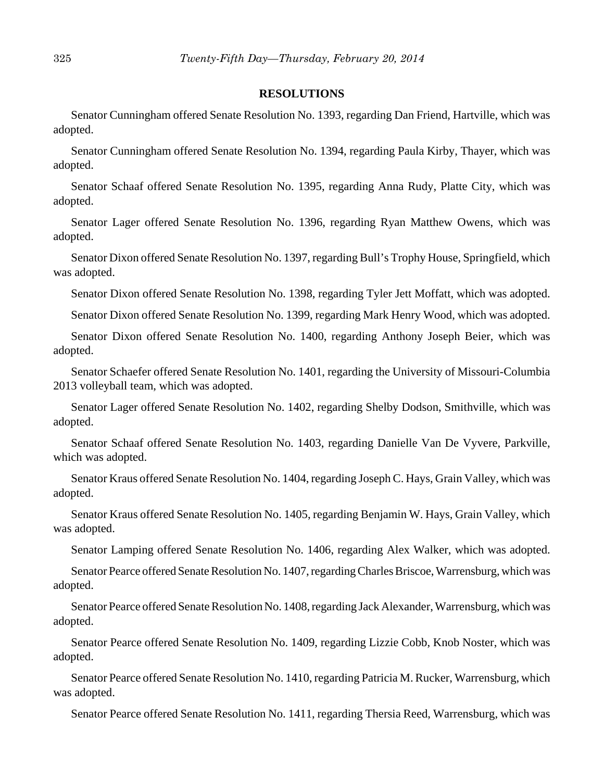#### **RESOLUTIONS**

Senator Cunningham offered Senate Resolution No. 1393, regarding Dan Friend, Hartville, which was adopted.

Senator Cunningham offered Senate Resolution No. 1394, regarding Paula Kirby, Thayer, which was adopted.

Senator Schaaf offered Senate Resolution No. 1395, regarding Anna Rudy, Platte City, which was adopted.

Senator Lager offered Senate Resolution No. 1396, regarding Ryan Matthew Owens, which was adopted.

Senator Dixon offered Senate Resolution No. 1397, regarding Bull's Trophy House, Springfield, which was adopted.

Senator Dixon offered Senate Resolution No. 1398, regarding Tyler Jett Moffatt, which was adopted.

Senator Dixon offered Senate Resolution No. 1399, regarding Mark Henry Wood, which was adopted.

Senator Dixon offered Senate Resolution No. 1400, regarding Anthony Joseph Beier, which was adopted.

Senator Schaefer offered Senate Resolution No. 1401, regarding the University of Missouri-Columbia 2013 volleyball team, which was adopted.

Senator Lager offered Senate Resolution No. 1402, regarding Shelby Dodson, Smithville, which was adopted.

Senator Schaaf offered Senate Resolution No. 1403, regarding Danielle Van De Vyvere, Parkville, which was adopted.

Senator Kraus offered Senate Resolution No. 1404, regarding Joseph C. Hays, Grain Valley, which was adopted.

Senator Kraus offered Senate Resolution No. 1405, regarding Benjamin W. Hays, Grain Valley, which was adopted.

Senator Lamping offered Senate Resolution No. 1406, regarding Alex Walker, which was adopted.

Senator Pearce offered Senate Resolution No. 1407, regarding Charles Briscoe, Warrensburg, which was adopted.

Senator Pearce offered Senate Resolution No. 1408, regarding Jack Alexander, Warrensburg, which was adopted.

Senator Pearce offered Senate Resolution No. 1409, regarding Lizzie Cobb, Knob Noster, which was adopted.

Senator Pearce offered Senate Resolution No. 1410, regarding Patricia M. Rucker, Warrensburg, which was adopted.

Senator Pearce offered Senate Resolution No. 1411, regarding Thersia Reed, Warrensburg, which was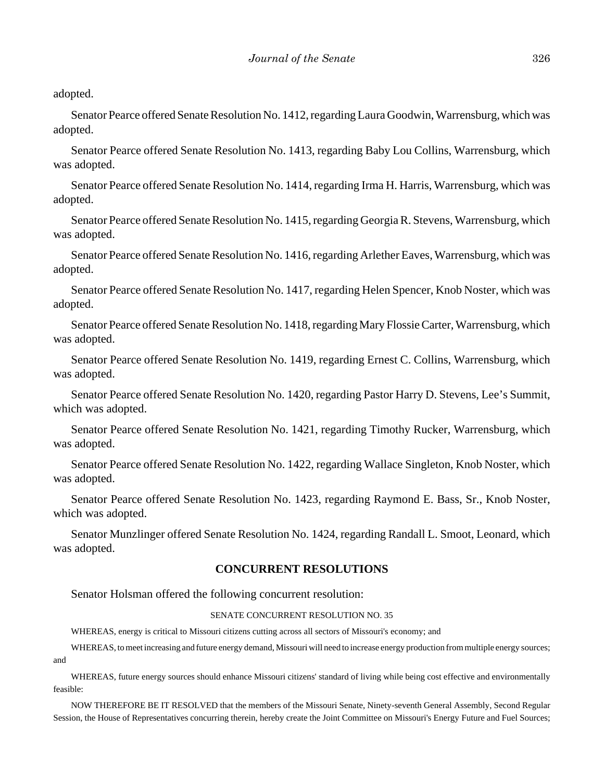adopted.

Senator Pearce offered Senate Resolution No. 1412, regarding Laura Goodwin, Warrensburg, which was adopted.

Senator Pearce offered Senate Resolution No. 1413, regarding Baby Lou Collins, Warrensburg, which was adopted.

Senator Pearce offered Senate Resolution No. 1414, regarding Irma H. Harris, Warrensburg, which was adopted.

Senator Pearce offered Senate Resolution No. 1415, regarding Georgia R. Stevens, Warrensburg, which was adopted.

Senator Pearce offered Senate Resolution No. 1416, regarding Arlether Eaves, Warrensburg, which was adopted.

Senator Pearce offered Senate Resolution No. 1417, regarding Helen Spencer, Knob Noster, which was adopted.

Senator Pearce offered Senate Resolution No. 1418, regarding Mary Flossie Carter, Warrensburg, which was adopted.

Senator Pearce offered Senate Resolution No. 1419, regarding Ernest C. Collins, Warrensburg, which was adopted.

Senator Pearce offered Senate Resolution No. 1420, regarding Pastor Harry D. Stevens, Lee's Summit, which was adopted.

Senator Pearce offered Senate Resolution No. 1421, regarding Timothy Rucker, Warrensburg, which was adopted.

Senator Pearce offered Senate Resolution No. 1422, regarding Wallace Singleton, Knob Noster, which was adopted.

Senator Pearce offered Senate Resolution No. 1423, regarding Raymond E. Bass, Sr., Knob Noster, which was adopted.

Senator Munzlinger offered Senate Resolution No. 1424, regarding Randall L. Smoot, Leonard, which was adopted.

### **CONCURRENT RESOLUTIONS**

Senator Holsman offered the following concurrent resolution:

#### SENATE CONCURRENT RESOLUTION NO. 35

WHEREAS, energy is critical to Missouri citizens cutting across all sectors of Missouri's economy; and

WHEREAS, to meet increasing and future energy demand, Missouri will need to increase energy production from multiple energy sources; and

WHEREAS, future energy sources should enhance Missouri citizens' standard of living while being cost effective and environmentally feasible:

NOW THEREFORE BE IT RESOLVED that the members of the Missouri Senate, Ninety-seventh General Assembly, Second Regular Session, the House of Representatives concurring therein, hereby create the Joint Committee on Missouri's Energy Future and Fuel Sources;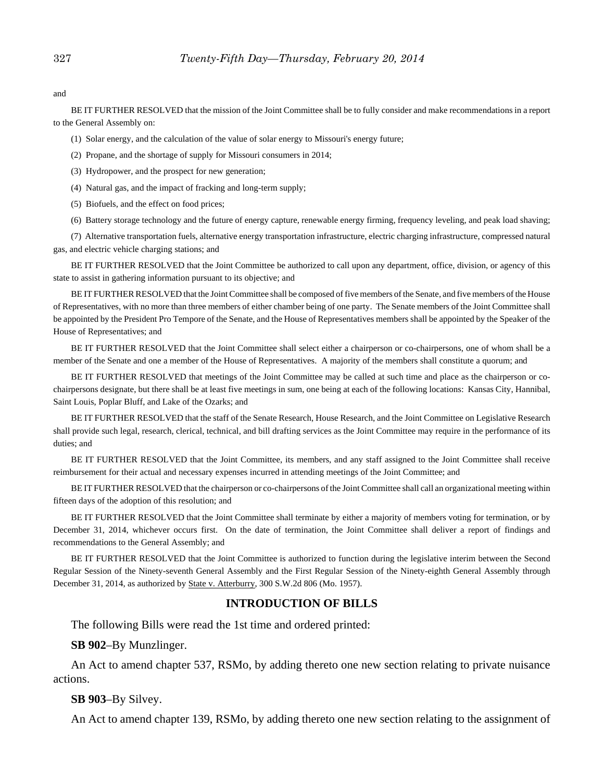and

BE IT FURTHER RESOLVED that the mission of the Joint Committee shall be to fully consider and make recommendations in a report to the General Assembly on:

(1) Solar energy, and the calculation of the value of solar energy to Missouri's energy future;

- (2) Propane, and the shortage of supply for Missouri consumers in 2014;
- (3) Hydropower, and the prospect for new generation;
- (4) Natural gas, and the impact of fracking and long-term supply;
- (5) Biofuels, and the effect on food prices;

(6) Battery storage technology and the future of energy capture, renewable energy firming, frequency leveling, and peak load shaving;

(7) Alternative transportation fuels, alternative energy transportation infrastructure, electric charging infrastructure, compressed natural gas, and electric vehicle charging stations; and

BE IT FURTHER RESOLVED that the Joint Committee be authorized to call upon any department, office, division, or agency of this state to assist in gathering information pursuant to its objective; and

BE IT FURTHER RESOLVED that the Joint Committee shall be composed of five members of the Senate, and five members of the House of Representatives, with no more than three members of either chamber being of one party. The Senate members of the Joint Committee shall be appointed by the President Pro Tempore of the Senate, and the House of Representatives members shall be appointed by the Speaker of the House of Representatives; and

BE IT FURTHER RESOLVED that the Joint Committee shall select either a chairperson or co-chairpersons, one of whom shall be a member of the Senate and one a member of the House of Representatives. A majority of the members shall constitute a quorum; and

BE IT FURTHER RESOLVED that meetings of the Joint Committee may be called at such time and place as the chairperson or cochairpersons designate, but there shall be at least five meetings in sum, one being at each of the following locations: Kansas City, Hannibal, Saint Louis, Poplar Bluff, and Lake of the Ozarks; and

BE IT FURTHER RESOLVED that the staff of the Senate Research, House Research, and the Joint Committee on Legislative Research shall provide such legal, research, clerical, technical, and bill drafting services as the Joint Committee may require in the performance of its duties; and

BE IT FURTHER RESOLVED that the Joint Committee, its members, and any staff assigned to the Joint Committee shall receive reimbursement for their actual and necessary expenses incurred in attending meetings of the Joint Committee; and

BE IT FURTHER RESOLVED that the chairperson or co-chairpersons of the Joint Committee shall call an organizational meeting within fifteen days of the adoption of this resolution; and

BE IT FURTHER RESOLVED that the Joint Committee shall terminate by either a majority of members voting for termination, or by December 31, 2014, whichever occurs first. On the date of termination, the Joint Committee shall deliver a report of findings and recommendations to the General Assembly; and

BE IT FURTHER RESOLVED that the Joint Committee is authorized to function during the legislative interim between the Second Regular Session of the Ninety-seventh General Assembly and the First Regular Session of the Ninety-eighth General Assembly through December 31, 2014, as authorized by State v. Atterburry, 300 S.W.2d 806 (Mo. 1957).

#### **INTRODUCTION OF BILLS**

The following Bills were read the 1st time and ordered printed:

#### **SB 902**–By Munzlinger.

An Act to amend chapter 537, RSMo, by adding thereto one new section relating to private nuisance actions.

#### **SB 903**–By Silvey.

An Act to amend chapter 139, RSMo, by adding thereto one new section relating to the assignment of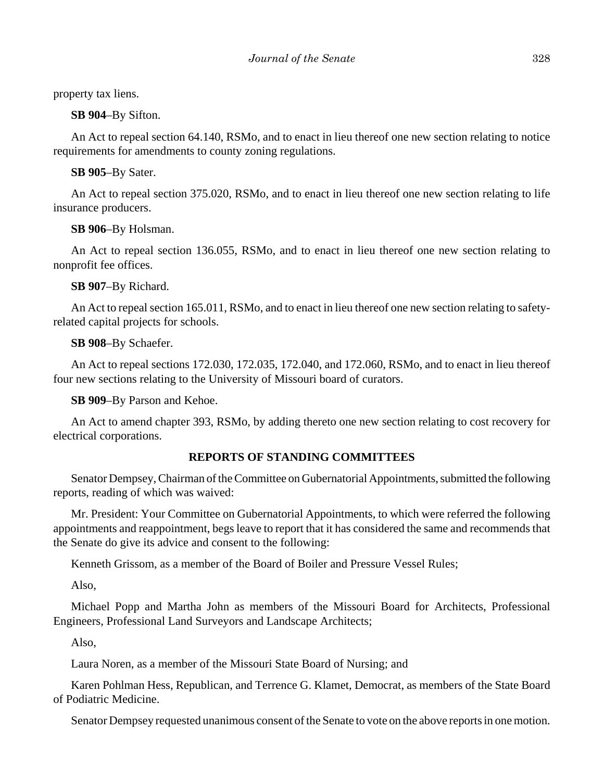property tax liens.

**SB 904**–By Sifton.

An Act to repeal section 64.140, RSMo, and to enact in lieu thereof one new section relating to notice requirements for amendments to county zoning regulations.

**SB 905**–By Sater.

An Act to repeal section 375.020, RSMo, and to enact in lieu thereof one new section relating to life insurance producers.

**SB 906**–By Holsman.

An Act to repeal section 136.055, RSMo, and to enact in lieu thereof one new section relating to nonprofit fee offices.

**SB 907**–By Richard.

An Act to repeal section 165.011, RSMo, and to enact in lieu thereof one new section relating to safetyrelated capital projects for schools.

**SB 908**–By Schaefer.

An Act to repeal sections 172.030, 172.035, 172.040, and 172.060, RSMo, and to enact in lieu thereof four new sections relating to the University of Missouri board of curators.

**SB 909**–By Parson and Kehoe.

An Act to amend chapter 393, RSMo, by adding thereto one new section relating to cost recovery for electrical corporations.

#### **REPORTS OF STANDING COMMITTEES**

Senator Dempsey, Chairman of the Committee on Gubernatorial Appointments, submitted the following reports, reading of which was waived:

Mr. President: Your Committee on Gubernatorial Appointments, to which were referred the following appointments and reappointment, begs leave to report that it has considered the same and recommends that the Senate do give its advice and consent to the following:

Kenneth Grissom, as a member of the Board of Boiler and Pressure Vessel Rules;

Also,

Michael Popp and Martha John as members of the Missouri Board for Architects, Professional Engineers, Professional Land Surveyors and Landscape Architects;

Also,

Laura Noren, as a member of the Missouri State Board of Nursing; and

Karen Pohlman Hess, Republican, and Terrence G. Klamet, Democrat, as members of the State Board of Podiatric Medicine.

Senator Dempsey requested unanimous consent of the Senate to vote on the above reports in one motion.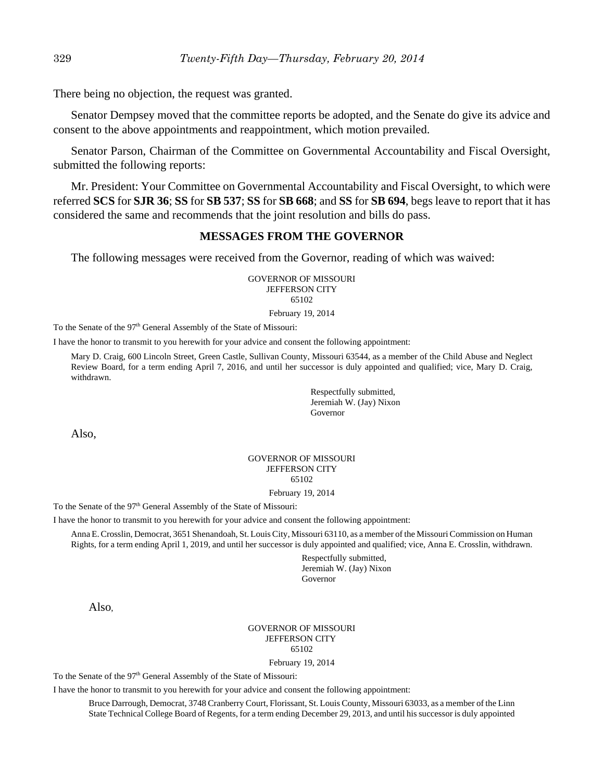There being no objection, the request was granted.

Senator Dempsey moved that the committee reports be adopted, and the Senate do give its advice and consent to the above appointments and reappointment, which motion prevailed.

Senator Parson, Chairman of the Committee on Governmental Accountability and Fiscal Oversight, submitted the following reports:

Mr. President: Your Committee on Governmental Accountability and Fiscal Oversight, to which were referred **SCS** for **SJR 36**; **SS** for **SB 537**; **SS** for **SB 668**; and **SS** for **SB 694**, begs leave to report that it has considered the same and recommends that the joint resolution and bills do pass.

#### **MESSAGES FROM THE GOVERNOR**

The following messages were received from the Governor, reading of which was waived:

GOVERNOR OF MISSOURI JEFFERSON CITY 65102

February 19, 2014

To the Senate of the 97<sup>th</sup> General Assembly of the State of Missouri:

I have the honor to transmit to you herewith for your advice and consent the following appointment:

Mary D. Craig, 600 Lincoln Street, Green Castle, Sullivan County, Missouri 63544, as a member of the Child Abuse and Neglect Review Board, for a term ending April 7, 2016, and until her successor is duly appointed and qualified; vice, Mary D. Craig, withdrawn.

> Respectfully submitted, Jeremiah W. (Jay) Nixon Governor

Also,

#### GOVERNOR OF MISSOURI JEFFERSON CITY 65102

February 19, 2014

To the Senate of the 97<sup>th</sup> General Assembly of the State of Missouri:

I have the honor to transmit to you herewith for your advice and consent the following appointment:

Anna E. Crosslin, Democrat, 3651 Shenandoah, St. Louis City, Missouri 63110, as a member of the Missouri Commission on Human Rights, for a term ending April 1, 2019, and until her successor is duly appointed and qualified; vice, Anna E. Crosslin, withdrawn.

> Respectfully submitted, Jeremiah W. (Jay) Nixon Governor

Also,

#### GOVERNOR OF MISSOURI JEFFERSON CITY 65102

February 19, 2014

To the Senate of the 97<sup>th</sup> General Assembly of the State of Missouri:

I have the honor to transmit to you herewith for your advice and consent the following appointment:

Bruce Darrough, Democrat, 3748 Cranberry Court, Florissant, St. Louis County, Missouri 63033, as a member of the Linn State Technical College Board of Regents, for a term ending December 29, 2013, and until his successor is duly appointed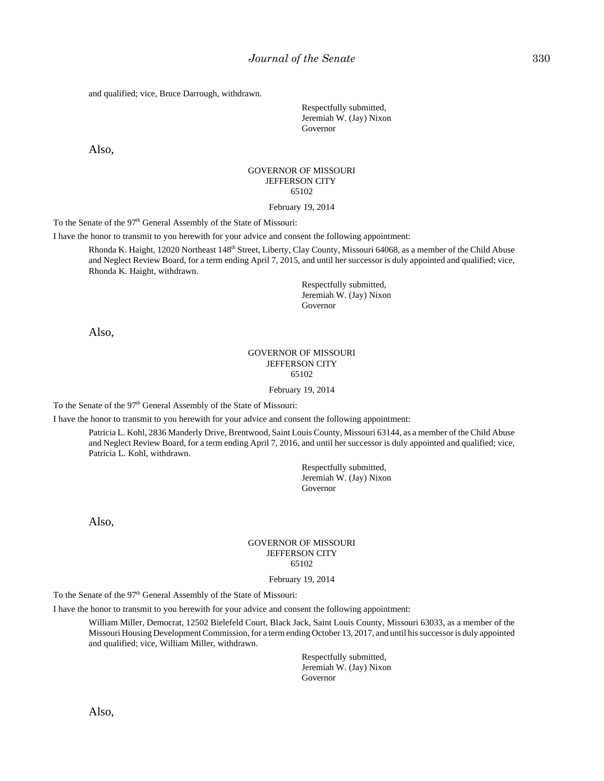and qualified; vice, Bruce Darrough, withdrawn.

Respectfully submitted, Jeremiah W. (Jay) Nixon Governor

Also,

#### GOVERNOR OF MISSOURI JEFFERSON CITY 65102

#### February 19, 2014

To the Senate of the 97<sup>th</sup> General Assembly of the State of Missouri:

I have the honor to transmit to you herewith for your advice and consent the following appointment:

Rhonda K. Haight, 12020 Northeast 148<sup>th</sup> Street, Liberty, Clay County, Missouri 64068, as a member of the Child Abuse and Neglect Review Board, for a term ending April 7, 2015, and until her successor is duly appointed and qualified; vice, Rhonda K. Haight, withdrawn.

> Respectfully submitted, Jeremiah W. (Jay) Nixon Governor

Also,

#### GOVERNOR OF MISSOURI JEFFERSON CITY 65102

February 19, 2014

To the Senate of the 97<sup>th</sup> General Assembly of the State of Missouri:

I have the honor to transmit to you herewith for your advice and consent the following appointment:

Patricia L. Kohl, 2836 Manderly Drive, Brentwood, Saint Louis County, Missouri 63144, as a member of the Child Abuse and Neglect Review Board, for a term ending April 7, 2016, and until her successor is duly appointed and qualified; vice, Patricia L. Kohl, withdrawn.

> Respectfully submitted, Jeremiah W. (Jay) Nixon Governor

Also,

#### GOVERNOR OF MISSOURI JEFFERSON CITY 65102

February 19, 2014

To the Senate of the 97<sup>th</sup> General Assembly of the State of Missouri:

I have the honor to transmit to you herewith for your advice and consent the following appointment:

William Miller, Democrat, 12502 Bielefeld Court, Black Jack, Saint Louis County, Missouri 63033, as a member of the Missouri Housing Development Commission, for a term ending October 13, 2017, and until his successor is duly appointed and qualified; vice, William Miller, withdrawn.

> Respectfully submitted, Jeremiah W. (Jay) Nixon Governor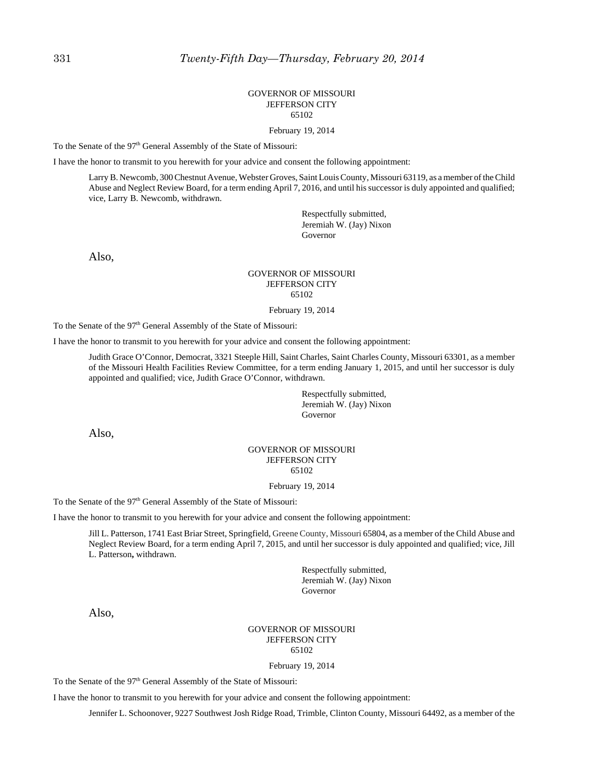#### GOVERNOR OF MISSOURI JEFFERSON CITY 65102

February 19, 2014

To the Senate of the 97<sup>th</sup> General Assembly of the State of Missouri:

I have the honor to transmit to you herewith for your advice and consent the following appointment:

Larry B. Newcomb, 300 Chestnut Avenue, Webster Groves, Saint Louis County, Missouri 63119, as a member of the Child Abuse and Neglect Review Board, for a term ending April 7, 2016, and until his successor is duly appointed and qualified; vice, Larry B. Newcomb, withdrawn.

> Respectfully submitted, Jeremiah W. (Jay) Nixon Governor

Also,

#### GOVERNOR OF MISSOURI JEFFERSON CITY 65102

February 19, 2014

To the Senate of the 97<sup>th</sup> General Assembly of the State of Missouri:

I have the honor to transmit to you herewith for your advice and consent the following appointment:

Judith Grace O'Connor, Democrat, 3321 Steeple Hill, Saint Charles, Saint Charles County, Missouri 63301, as a member of the Missouri Health Facilities Review Committee, for a term ending January 1, 2015, and until her successor is duly appointed and qualified; vice, Judith Grace O'Connor, withdrawn.

> Respectfully submitted, Jeremiah W. (Jay) Nixon Governor

Also,

#### GOVERNOR OF MISSOURI JEFFERSON CITY 65102

February 19, 2014

To the Senate of the 97<sup>th</sup> General Assembly of the State of Missouri:

I have the honor to transmit to you herewith for your advice and consent the following appointment:

Jill L. Patterson, 1741 East Briar Street, Springfield, Greene County, Missouri 65804, as a member of the Child Abuse and Neglect Review Board, for a term ending April 7, 2015, and until her successor is duly appointed and qualified; vice, Jill L. Patterson**,** withdrawn.

> Respectfully submitted, Jeremiah W. (Jay) Nixon Governor

Also,

#### GOVERNOR OF MISSOURI JEFFERSON CITY 65102

February 19, 2014

To the Senate of the 97<sup>th</sup> General Assembly of the State of Missouri:

I have the honor to transmit to you herewith for your advice and consent the following appointment:

Jennifer L. Schoonover, 9227 Southwest Josh Ridge Road, Trimble, Clinton County, Missouri 64492, as a member of the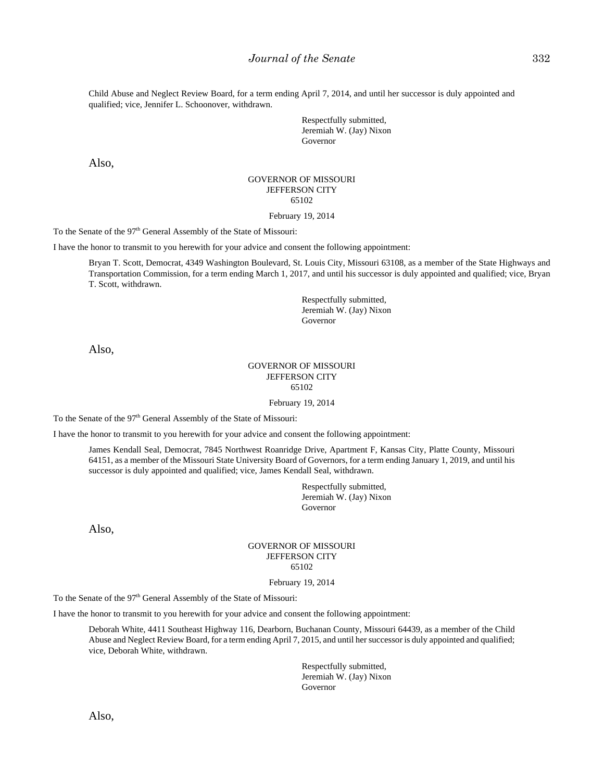Child Abuse and Neglect Review Board, for a term ending April 7, 2014, and until her successor is duly appointed and qualified; vice, Jennifer L. Schoonover, withdrawn.

> Respectfully submitted, Jeremiah W. (Jay) Nixon Governor

Also,

#### GOVERNOR OF MISSOURI JEFFERSON CITY 65102

February 19, 2014

To the Senate of the 97<sup>th</sup> General Assembly of the State of Missouri:

I have the honor to transmit to you herewith for your advice and consent the following appointment:

Bryan T. Scott, Democrat, 4349 Washington Boulevard, St. Louis City, Missouri 63108, as a member of the State Highways and Transportation Commission, for a term ending March 1, 2017, and until his successor is duly appointed and qualified; vice, Bryan T. Scott, withdrawn.

> Respectfully submitted, Jeremiah W. (Jay) Nixon Governor

Also,

#### GOVERNOR OF MISSOURI JEFFERSON CITY 65102

February 19, 2014

To the Senate of the 97<sup>th</sup> General Assembly of the State of Missouri:

I have the honor to transmit to you herewith for your advice and consent the following appointment:

James Kendall Seal, Democrat, 7845 Northwest Roanridge Drive, Apartment F, Kansas City, Platte County, Missouri 64151, as a member of the Missouri State University Board of Governors, for a term ending January 1, 2019, and until his successor is duly appointed and qualified; vice, James Kendall Seal, withdrawn.

> Respectfully submitted, Jeremiah W. (Jay) Nixon Governor

Also,

#### GOVERNOR OF MISSOURI JEFFERSON CITY 65102

February 19, 2014

To the Senate of the 97<sup>th</sup> General Assembly of the State of Missouri:

I have the honor to transmit to you herewith for your advice and consent the following appointment:

Deborah White, 4411 Southeast Highway 116, Dearborn, Buchanan County, Missouri 64439, as a member of the Child Abuse and Neglect Review Board, for a term ending April 7, 2015, and until her successor is duly appointed and qualified; vice, Deborah White, withdrawn.

> Respectfully submitted, Jeremiah W. (Jay) Nixon Governor

Also,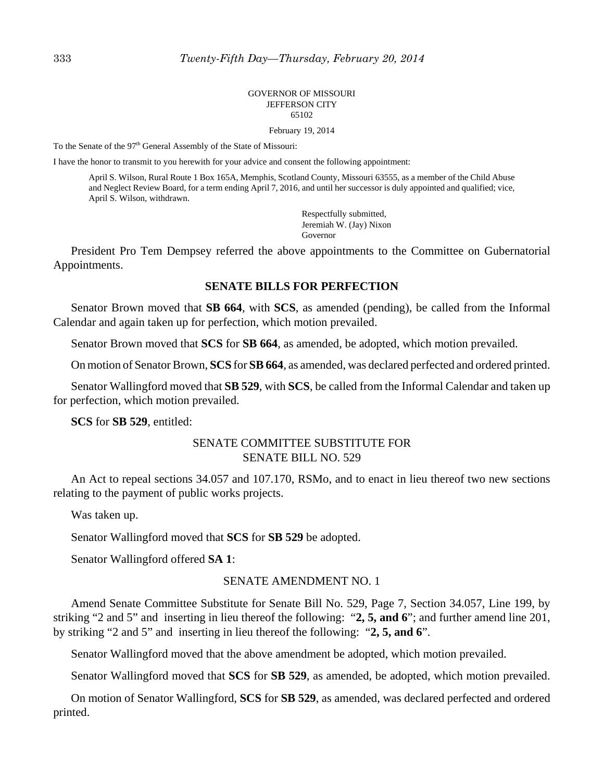#### GOVERNOR OF MISSOURI JEFFERSON CITY 65102

February 19, 2014

To the Senate of the 97<sup>th</sup> General Assembly of the State of Missouri:

I have the honor to transmit to you herewith for your advice and consent the following appointment:

April S. Wilson, Rural Route 1 Box 165A, Memphis, Scotland County, Missouri 63555, as a member of the Child Abuse and Neglect Review Board, for a term ending April 7, 2016, and until her successor is duly appointed and qualified; vice, April S. Wilson, withdrawn.

> Respectfully submitted, Jeremiah W. (Jay) Nixon Governor

President Pro Tem Dempsey referred the above appointments to the Committee on Gubernatorial Appointments.

#### **SENATE BILLS FOR PERFECTION**

Senator Brown moved that **SB 664**, with **SCS**, as amended (pending), be called from the Informal Calendar and again taken up for perfection, which motion prevailed.

Senator Brown moved that **SCS** for **SB 664**, as amended, be adopted, which motion prevailed.

On motion of Senator Brown, **SCS** for **SB 664**, as amended, was declared perfected and ordered printed.

Senator Wallingford moved that **SB 529**, with **SCS**, be called from the Informal Calendar and taken up for perfection, which motion prevailed.

**SCS** for **SB 529**, entitled:

#### SENATE COMMITTEE SUBSTITUTE FOR SENATE BILL NO. 529

An Act to repeal sections 34.057 and 107.170, RSMo, and to enact in lieu thereof two new sections relating to the payment of public works projects.

Was taken up.

Senator Wallingford moved that **SCS** for **SB 529** be adopted.

Senator Wallingford offered **SA 1**:

#### SENATE AMENDMENT NO. 1

Amend Senate Committee Substitute for Senate Bill No. 529, Page 7, Section 34.057, Line 199, by striking "2 and 5" and inserting in lieu thereof the following: "**2, 5, and 6**"; and further amend line 201, by striking "2 and 5" and inserting in lieu thereof the following: "**2, 5, and 6**".

Senator Wallingford moved that the above amendment be adopted, which motion prevailed.

Senator Wallingford moved that **SCS** for **SB 529**, as amended, be adopted, which motion prevailed.

On motion of Senator Wallingford, **SCS** for **SB 529**, as amended, was declared perfected and ordered printed.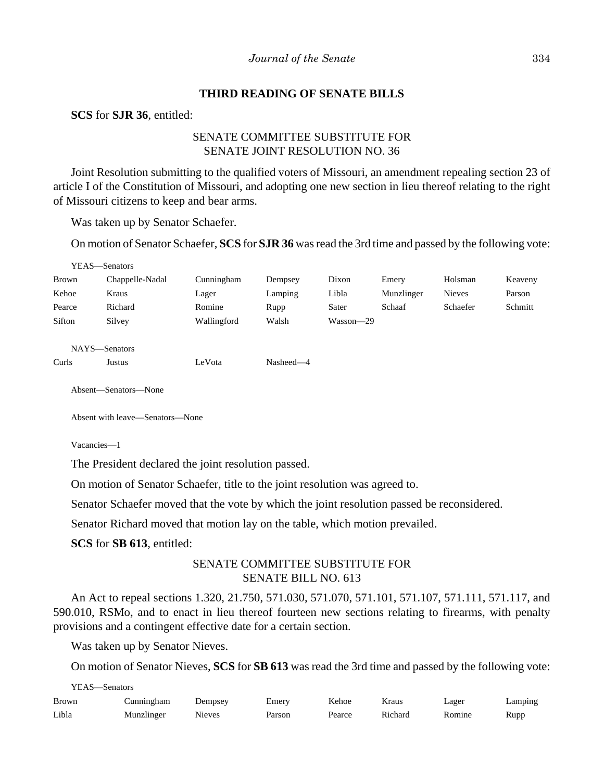### **THIRD READING OF SENATE BILLS**

**SCS** for **SJR 36**, entitled:

### SENATE COMMITTEE SUBSTITUTE FOR SENATE JOINT RESOLUTION NO. 36

Joint Resolution submitting to the qualified voters of Missouri, an amendment repealing section 23 of article I of the Constitution of Missouri, and adopting one new section in lieu thereof relating to the right of Missouri citizens to keep and bear arms.

Was taken up by Senator Schaefer.

On motion of Senator Schaefer, **SCS** for **SJR 36** was read the 3rd time and passed by the following vote:

|              | YEAS—Senators   |             |           |           |            |               |         |
|--------------|-----------------|-------------|-----------|-----------|------------|---------------|---------|
| <b>Brown</b> | Chappelle-Nadal | Cunningham  | Dempsey   | Dixon     | Emery      | Holsman       | Keaveny |
| Kehoe        | Kraus           | Lager       | Lamping   | Libla     | Munzlinger | <b>Nieves</b> | Parson  |
| Pearce       | Richard         | Romine      | Rupp      | Sater     | Schaaf     | Schaefer      | Schmitt |
| Sifton       | Silvey          | Wallingford | Walsh     | Wasson-29 |            |               |         |
|              |                 |             |           |           |            |               |         |
|              | NAYS-Senators   |             |           |           |            |               |         |
| Curls        | Justus          | LeVota      | Nasheed-4 |           |            |               |         |
|              |                 |             |           |           |            |               |         |

Absent—Senators—None

Absent with leave—Senators—None

Vacancies—1

YEAS—Senators

The President declared the joint resolution passed.

On motion of Senator Schaefer, title to the joint resolution was agreed to.

Senator Schaefer moved that the vote by which the joint resolution passed be reconsidered.

Senator Richard moved that motion lay on the table, which motion prevailed.

**SCS** for **SB 613**, entitled:

### SENATE COMMITTEE SUBSTITUTE FOR SENATE BILL NO. 613

An Act to repeal sections 1.320, 21.750, 571.030, 571.070, 571.101, 571.107, 571.111, 571.117, and 590.010, RSMo, and to enact in lieu thereof fourteen new sections relating to firearms, with penalty provisions and a contingent effective date for a certain section.

Was taken up by Senator Nieves.

On motion of Senator Nieves, **SCS** for **SB 613** was read the 3rd time and passed by the following vote:

| YEAS—Senators |            |               |        |        |         |        |         |  |
|---------------|------------|---------------|--------|--------|---------|--------|---------|--|
| <b>Brown</b>  | Cunningham | Dempsey       | Emery  | Kehoe  | Kraus   | ∟ager  | Lamping |  |
| Libla         | Munzlinger | <b>Nieves</b> | Parson | Pearce | Richard | Romine | Rupp    |  |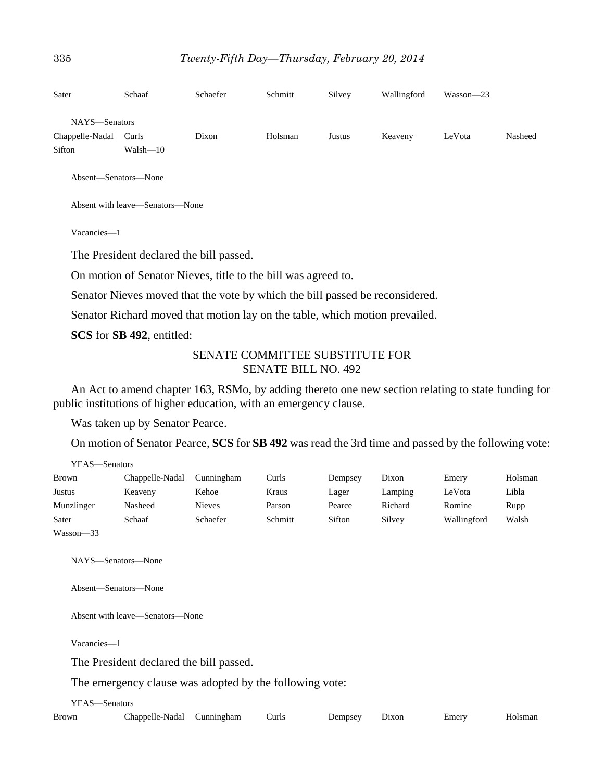| Sater           | Schaaf       | Schaefer | Schmitt | Silvey | Wallingford | Wasson-23 |         |
|-----------------|--------------|----------|---------|--------|-------------|-----------|---------|
| NAYS-Senators   |              |          |         |        |             |           |         |
| Chappelle-Nadal | Curls        | Dixon    | Holsman | Justus | Keaveny     | LeVota    | Nasheed |
| Sifton          | $Walsh - 10$ |          |         |        |             |           |         |
|                 |              |          |         |        |             |           |         |

Absent—Senators—None

Absent with leave—Senators—None

Vacancies—1

The President declared the bill passed.

On motion of Senator Nieves, title to the bill was agreed to.

Senator Nieves moved that the vote by which the bill passed be reconsidered.

Senator Richard moved that motion lay on the table, which motion prevailed.

**SCS** for **SB 492**, entitled:

### SENATE COMMITTEE SUBSTITUTE FOR SENATE BILL NO. 492

An Act to amend chapter 163, RSMo, by adding thereto one new section relating to state funding for public institutions of higher education, with an emergency clause.

Was taken up by Senator Pearce.

On motion of Senator Pearce, **SCS** for **SB 492** was read the 3rd time and passed by the following vote:

| YEAS—Senators |                 |               |         |         |         |             |         |
|---------------|-----------------|---------------|---------|---------|---------|-------------|---------|
| <b>Brown</b>  | Chappelle-Nadal | Cunningham    | Curls   | Dempsey | Dixon   | Emery       | Holsman |
| Justus        | Keaveny         | Kehoe         | Kraus   | Lager   | Lamping | LeVota      | Libla   |
| Munzlinger    | Nasheed         | <b>Nieves</b> | Parson  | Pearce  | Richard | Romine      | Rupp    |
| Sater         | Schaaf          | Schaefer      | Schmitt | Sifton  | Silvey  | Wallingford | Walsh   |
| Wasson-33     |                 |               |         |         |         |             |         |

NAYS—Senators—None

Absent—Senators—None

Absent with leave—Senators—None

Vacancies—1

The President declared the bill passed.

The emergency clause was adopted by the following vote:

YEAS—Senators

| Brown | Chappelle-Nadal Cunningham |  | Curls | Dempsey | Dixon | Emerv | Holsman |
|-------|----------------------------|--|-------|---------|-------|-------|---------|
|-------|----------------------------|--|-------|---------|-------|-------|---------|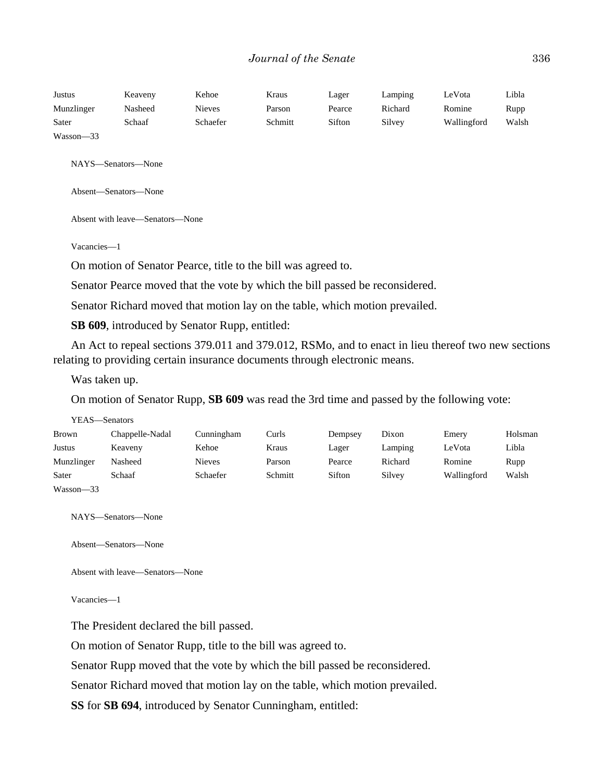| Justus     | Keaveny | Kehoe    | Kraus   | Lager  | Lamping | LeVota      | Libla |
|------------|---------|----------|---------|--------|---------|-------------|-------|
| Munzlinger | Nasheed | Nieves   | Parson  | Pearce | Richard | Romine      | Rupp  |
| Sater      | Schaaf  | Schaefer | Schmitt | Sifton | Silvey  | Wallingford | Walsh |
| Wasson-33  |         |          |         |        |         |             |       |

NAYS—Senators—None

Absent—Senators—None

Absent with leave—Senators—None

Vacancies—1

On motion of Senator Pearce, title to the bill was agreed to.

Senator Pearce moved that the vote by which the bill passed be reconsidered.

Senator Richard moved that motion lay on the table, which motion prevailed.

**SB 609**, introduced by Senator Rupp, entitled:

An Act to repeal sections 379.011 and 379.012, RSMo, and to enact in lieu thereof two new sections relating to providing certain insurance documents through electronic means.

Was taken up.

On motion of Senator Rupp, **SB 609** was read the 3rd time and passed by the following vote:

| Brown      | Chappelle-Nadal | Cunningham    | Curls   | Dempsey | Dixon   | Emery       | Holsman |
|------------|-----------------|---------------|---------|---------|---------|-------------|---------|
| Justus     | Keaveny         | Kehoe         | Kraus   | Lager   | Lamping | LeVota      | Libla   |
| Munzlinger | Nasheed         | <b>Nieves</b> | Parson  | Pearce  | Richard | Romine      | Rupp    |
| Sater      | Schaaf          | Schaefer      | Schmitt | Sifton  | Silvey  | Wallingford | Walsh   |
| Wasson-33  |                 |               |         |         |         |             |         |

NAYS—Senators—None

Absent—Senators—None

Absent with leave—Senators—None

Vacancies—1

The President declared the bill passed.

On motion of Senator Rupp, title to the bill was agreed to.

Senator Rupp moved that the vote by which the bill passed be reconsidered.

Senator Richard moved that motion lay on the table, which motion prevailed.

**SS** for **SB 694**, introduced by Senator Cunningham, entitled: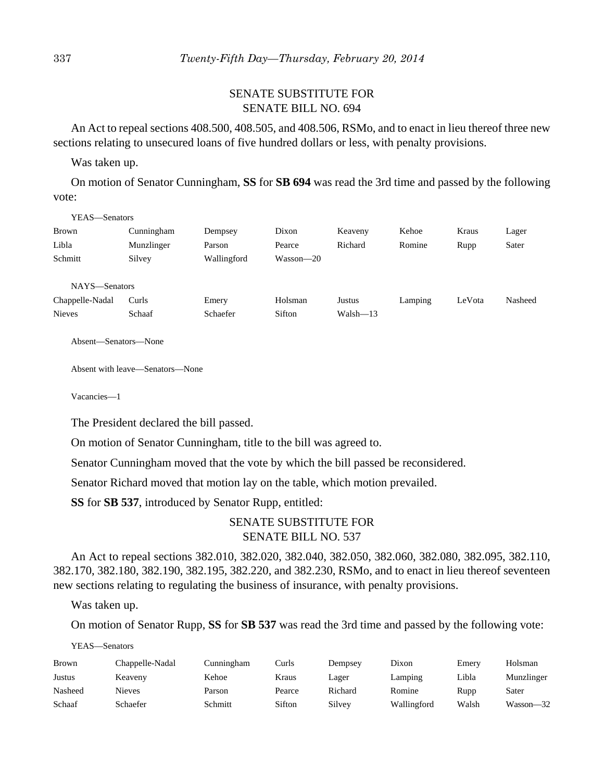### SENATE SUBSTITUTE FOR SENATE BILL NO. 694

An Act to repeal sections 408.500, 408.505, and 408.506, RSMo, and to enact in lieu thereof three new sections relating to unsecured loans of five hundred dollars or less, with penalty provisions.

Was taken up.

On motion of Senator Cunningham, **SS** for **SB 694** was read the 3rd time and passed by the following vote:

| YEAS—Senators   |            |             |           |              |         |        |         |
|-----------------|------------|-------------|-----------|--------------|---------|--------|---------|
| <b>Brown</b>    | Cunningham | Dempsey     | Dixon     | Keaveny      | Kehoe   | Kraus  | Lager   |
| Libla           | Munzlinger | Parson      | Pearce    | Richard      | Romine  | Rupp   | Sater   |
| Schmitt         | Silvey     | Wallingford | Wasson—20 |              |         |        |         |
|                 |            |             |           |              |         |        |         |
| NAYS-Senators   |            |             |           |              |         |        |         |
| Chappelle-Nadal | Curls      | Emery       | Holsman   | Justus       | Lamping | LeVota | Nasheed |
| <b>Nieves</b>   | Schaaf     | Schaefer    | Sifton    | $Walsh - 13$ |         |        |         |
|                 |            |             |           |              |         |        |         |

Absent—Senators—None

Absent with leave—Senators—None

Vacancies—1

The President declared the bill passed.

On motion of Senator Cunningham, title to the bill was agreed to.

Senator Cunningham moved that the vote by which the bill passed be reconsidered.

Senator Richard moved that motion lay on the table, which motion prevailed.

**SS** for **SB 537**, introduced by Senator Rupp, entitled:

### SENATE SUBSTITUTE FOR SENATE BILL NO. 537

An Act to repeal sections 382.010, 382.020, 382.040, 382.050, 382.060, 382.080, 382.095, 382.110, 382.170, 382.180, 382.190, 382.195, 382.220, and 382.230, RSMo, and to enact in lieu thereof seventeen new sections relating to regulating the business of insurance, with penalty provisions.

Was taken up.

On motion of Senator Rupp, **SS** for **SB 537** was read the 3rd time and passed by the following vote:

YEAS—Senators

| <b>Brown</b> | Chappelle-Nadal | Cunningham | Curls  | Dempsey | Dixon       | Emery | Holsman    |
|--------------|-----------------|------------|--------|---------|-------------|-------|------------|
| Justus       | Keaveny         | Kehoe      | Kraus  | Lager   | Lamping     | Libla | Munzlinger |
| Nasheed      | Nieves          | Parson     | Pearce | Richard | Romine      | Rupp  | Sater      |
| Schaaf       | Schaefer        | Schmitt    | Sifton | Silvev  | Wallingford | Walsh | Wasson—32  |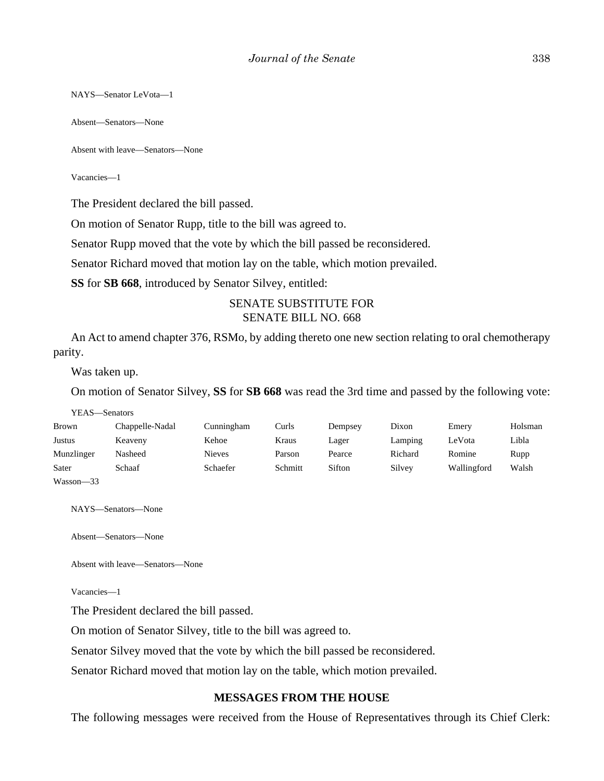NAYS—Senator LeVota—1

Absent—Senators—None

Absent with leave—Senators—None

Vacancies—1

The President declared the bill passed.

On motion of Senator Rupp, title to the bill was agreed to.

Senator Rupp moved that the vote by which the bill passed be reconsidered.

Senator Richard moved that motion lay on the table, which motion prevailed.

**SS** for **SB 668**, introduced by Senator Silvey, entitled:

### SENATE SUBSTITUTE FOR SENATE BILL NO. 668

An Act to amend chapter 376, RSMo, by adding thereto one new section relating to oral chemotherapy parity.

Was taken up.

On motion of Senator Silvey, **SS** for **SB 668** was read the 3rd time and passed by the following vote:

| YEAS—Senators |                 |               |         |         |         |             |         |
|---------------|-----------------|---------------|---------|---------|---------|-------------|---------|
| <b>Brown</b>  | Chappelle-Nadal | Cunningham    | Curls   | Dempsey | Dixon   | Emery       | Holsman |
| Justus        | Keaveny         | Kehoe         | Kraus   | Lager   | Lamping | LeVota      | Libla   |
| Munzlinger    | Nasheed         | <b>Nieves</b> | Parson  | Pearce  | Richard | Romine      | Rupp    |
| Sater         | Schaaf          | Schaefer      | Schmitt | Sifton  | Silvey  | Wallingford | Walsh   |
| Wasson-33     |                 |               |         |         |         |             |         |

NAYS—Senators—None

Absent—Senators—None

Absent with leave—Senators—None

Vacancies—1

The President declared the bill passed.

On motion of Senator Silvey, title to the bill was agreed to.

Senator Silvey moved that the vote by which the bill passed be reconsidered.

Senator Richard moved that motion lay on the table, which motion prevailed.

#### **MESSAGES FROM THE HOUSE**

The following messages were received from the House of Representatives through its Chief Clerk: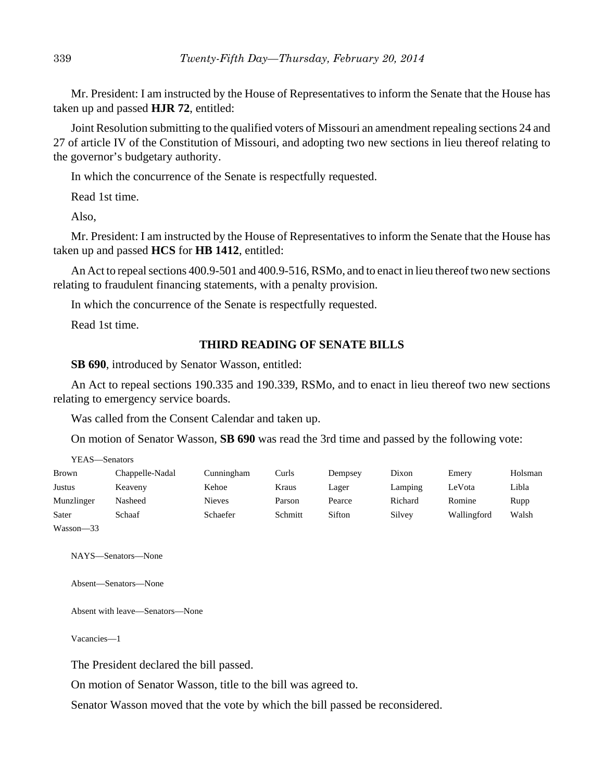Mr. President: I am instructed by the House of Representatives to inform the Senate that the House has taken up and passed **HJR 72**, entitled:

Joint Resolution submitting to the qualified voters of Missouri an amendment repealing sections 24 and 27 of article IV of the Constitution of Missouri, and adopting two new sections in lieu thereof relating to the governor's budgetary authority.

In which the concurrence of the Senate is respectfully requested.

Read 1st time.

Also,

Mr. President: I am instructed by the House of Representatives to inform the Senate that the House has taken up and passed **HCS** for **HB 1412**, entitled:

An Act to repeal sections 400.9-501 and 400.9-516, RSMo, and to enact in lieu thereof two new sections relating to fraudulent financing statements, with a penalty provision.

In which the concurrence of the Senate is respectfully requested.

Read 1st time.

#### **THIRD READING OF SENATE BILLS**

**SB 690**, introduced by Senator Wasson, entitled:

An Act to repeal sections 190.335 and 190.339, RSMo, and to enact in lieu thereof two new sections relating to emergency service boards.

Was called from the Consent Calendar and taken up.

On motion of Senator Wasson, **SB 690** was read the 3rd time and passed by the following vote:

| YEAS—Senators |                 |               |         |         |         |             |         |
|---------------|-----------------|---------------|---------|---------|---------|-------------|---------|
| Brown         | Chappelle-Nadal | Cunningham    | Curls   | Dempsey | Dixon   | Emery       | Holsman |
| Justus        | Keaveny         | Kehoe         | Kraus   | Lager   | Lamping | LeVota      | Libla   |
| Munzlinger    | Nasheed         | <b>Nieves</b> | Parson  | Pearce  | Richard | Romine      | Rupp    |
| Sater         | Schaaf          | Schaefer      | Schmitt | Sifton  | Silvey  | Wallingford | Walsh   |
| $Wasson-33$   |                 |               |         |         |         |             |         |

 $asson—33$ 

NAYS—Senators—None

Absent—Senators—None

Absent with leave—Senators—None

Vacancies—1

The President declared the bill passed.

On motion of Senator Wasson, title to the bill was agreed to.

Senator Wasson moved that the vote by which the bill passed be reconsidered.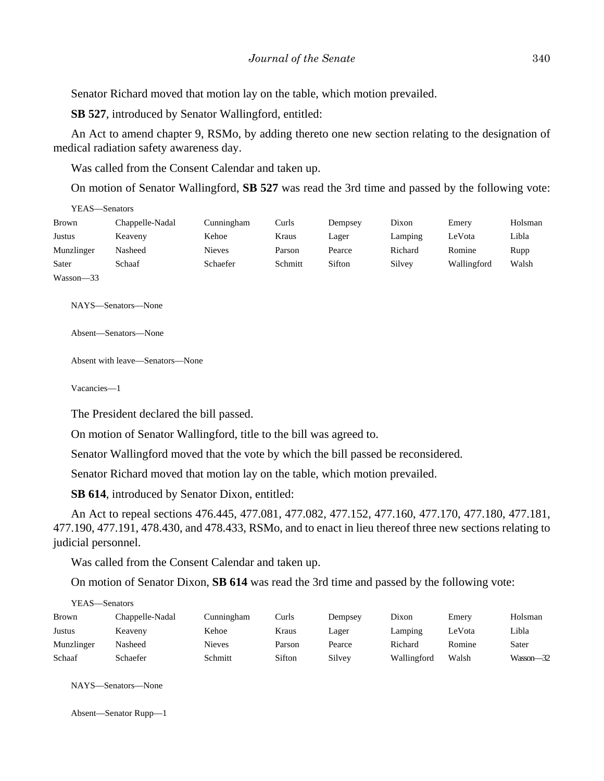Senator Richard moved that motion lay on the table, which motion prevailed.

**SB 527**, introduced by Senator Wallingford, entitled:

An Act to amend chapter 9, RSMo, by adding thereto one new section relating to the designation of medical radiation safety awareness day.

Was called from the Consent Calendar and taken up.

On motion of Senator Wallingford, **SB 527** was read the 3rd time and passed by the following vote:

| YEAS—Senators |                 |               |         |         |         |             |         |
|---------------|-----------------|---------------|---------|---------|---------|-------------|---------|
| <b>Brown</b>  | Chappelle-Nadal | Cunningham    | Curls   | Dempsey | Dixon   | Emery       | Holsman |
| Justus        | Keaveny         | Kehoe         | Kraus   | Lager   | Lamping | LeVota      | Libla   |
| Munzlinger    | Nasheed         | <b>Nieves</b> | Parson  | Pearce  | Richard | Romine      | Rupp    |
| Sater         | Schaaf          | Schaefer      | Schmitt | Sifton  | Silvey  | Wallingford | Walsh   |
| $Wasson - 33$ |                 |               |         |         |         |             |         |

NAYS—Senators—None

Absent—Senators—None

Absent with leave—Senators—None

Vacancies—1

The President declared the bill passed.

On motion of Senator Wallingford, title to the bill was agreed to.

Senator Wallingford moved that the vote by which the bill passed be reconsidered.

Senator Richard moved that motion lay on the table, which motion prevailed.

**SB 614**, introduced by Senator Dixon, entitled:

An Act to repeal sections 476.445, 477.081, 477.082, 477.152, 477.160, 477.170, 477.180, 477.181, 477.190, 477.191, 478.430, and 478.433, RSMo, and to enact in lieu thereof three new sections relating to judicial personnel.

Was called from the Consent Calendar and taken up.

On motion of Senator Dixon, **SB 614** was read the 3rd time and passed by the following vote:

|              | YEAS—Senators   |               |        |         |             |        |           |  |  |  |
|--------------|-----------------|---------------|--------|---------|-------------|--------|-----------|--|--|--|
| <b>Brown</b> | Chappelle-Nadal | Cunningham    | Curls  | Dempsey | Dixon       | Emery  | Holsman   |  |  |  |
| Justus       | Keaveny         | Kehoe         | Kraus  | Lager   | Lamping     | LeVota | Libla     |  |  |  |
| Munzlinger   | Nasheed         | <b>Nieves</b> | Parson | Pearce  | Richard     | Romine | Sater     |  |  |  |
| Schaaf       | Schaefer        | Schmitt       | Sifton | Silvey  | Wallingford | Walsh  | Wasson-32 |  |  |  |

NAYS—Senators—None

Absent—Senator Rupp—1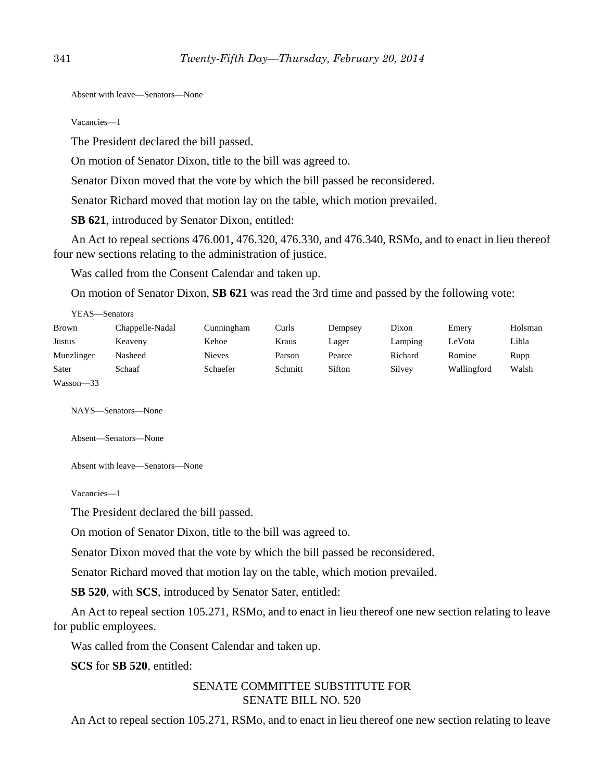Absent with leave—Senators—None

Vacancies—1

The President declared the bill passed.

On motion of Senator Dixon, title to the bill was agreed to.

Senator Dixon moved that the vote by which the bill passed be reconsidered.

Senator Richard moved that motion lay on the table, which motion prevailed.

**SB 621**, introduced by Senator Dixon, entitled:

An Act to repeal sections 476.001, 476.320, 476.330, and 476.340, RSMo, and to enact in lieu thereof four new sections relating to the administration of justice.

Was called from the Consent Calendar and taken up.

On motion of Senator Dixon, **SB 621** was read the 3rd time and passed by the following vote:

| YEAS—Senators |                 |               |         |         |         |             |         |
|---------------|-----------------|---------------|---------|---------|---------|-------------|---------|
| <b>Brown</b>  | Chappelle-Nadal | Cunningham    | Curls   | Dempsey | Dixon   | Emery       | Holsman |
| Justus        | Keaveny         | Kehoe         | Kraus   | Lager   | Lamping | LeVota      | Libla   |
| Munzlinger    | Nasheed         | <b>Nieves</b> | Parson  | Pearce  | Richard | Romine      | Rupp    |
| Sater         | Schaaf          | Schaefer      | Schmitt | Sifton  | Silvey  | Wallingford | Walsh   |
| Wasson-33     |                 |               |         |         |         |             |         |

NAYS—Senators—None

Absent—Senators—None

Absent with leave—Senators—None

Vacancies—1

The President declared the bill passed.

On motion of Senator Dixon, title to the bill was agreed to.

Senator Dixon moved that the vote by which the bill passed be reconsidered.

Senator Richard moved that motion lay on the table, which motion prevailed.

**SB 520**, with **SCS**, introduced by Senator Sater, entitled:

An Act to repeal section 105.271, RSMo, and to enact in lieu thereof one new section relating to leave for public employees.

Was called from the Consent Calendar and taken up.

**SCS** for **SB 520**, entitled:

### SENATE COMMITTEE SUBSTITUTE FOR SENATE BILL NO. 520

An Act to repeal section 105.271, RSMo, and to enact in lieu thereof one new section relating to leave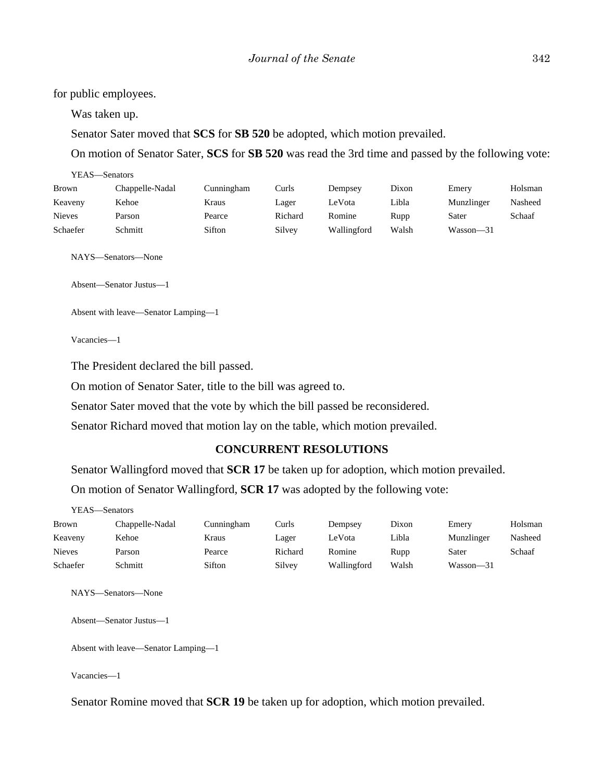for public employees.

Was taken up.

YEAS—Senators

Senator Sater moved that **SCS** for **SB 520** be adopted, which motion prevailed.

On motion of Senator Sater, **SCS** for **SB 520** was read the 3rd time and passed by the following vote:

| 1 LAS—Senators |                 |            |         |             |       |            |         |
|----------------|-----------------|------------|---------|-------------|-------|------------|---------|
| Brown          | Chappelle-Nadal | Cunningham | Curls   | Dempsey     | Dixon | Emery      | Holsman |
| Keaveny        | Kehoe           | Kraus      | Lager   | LeVota      | Libla | Munzlinger | Nasheed |
| <b>Nieves</b>  | Parson          | Pearce     | Richard | Romine      | Rupp  | Sater      | Schaaf  |
| Schaefer       | Schmitt         | Sifton     | Silvey  | Wallingford | Walsh | Wasson-31  |         |

NAYS—Senators—None

Absent—Senator Justus—1

```
Absent with leave—Senator Lamping—1
```
Vacancies—1

The President declared the bill passed.

On motion of Senator Sater, title to the bill was agreed to.

Senator Sater moved that the vote by which the bill passed be reconsidered.

Senator Richard moved that motion lay on the table, which motion prevailed.

#### **CONCURRENT RESOLUTIONS**

Senator Wallingford moved that **SCR 17** be taken up for adoption, which motion prevailed.

On motion of Senator Wallingford, **SCR 17** was adopted by the following vote:

| YEAS—Senators |                 |            |         |             |       |            |         |  |
|---------------|-----------------|------------|---------|-------------|-------|------------|---------|--|
| Brown         | Chappelle-Nadal | Cunningham | Curls   | Dempsey     | Dixon | Emery      | Holsman |  |
| Keaveny       | Kehoe           | Kraus      | Lager   | LeVota      | Libla | Munzlinger | Nasheed |  |
| <b>Nieves</b> | Parson          | Pearce     | Richard | Romine      | Rupp  | Sater      | Schaaf  |  |
| Schaefer      | Schmitt         | Sifton     | Silvey  | Wallingford | Walsh | Wasson—31  |         |  |

NAYS—Senators—None

Absent—Senator Justus—1

Absent with leave—Senator Lamping—1

Vacancies—1

Senator Romine moved that **SCR 19** be taken up for adoption, which motion prevailed.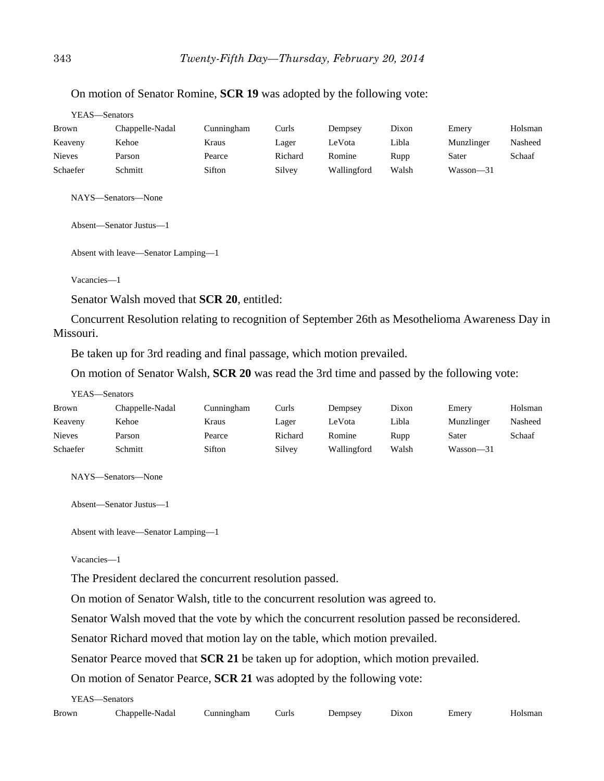| YEAS—Senators |                 |            |         |             |       |            |         |
|---------------|-----------------|------------|---------|-------------|-------|------------|---------|
| <b>Brown</b>  | Chappelle-Nadal | Cunningham | Curls   | Dempsey     | Dixon | Emery      | Holsman |
| Keaveny       | Kehoe           | Kraus      | Lager   | LeVota      | Libla | Munzlinger | Nasheed |
| <b>Nieves</b> | Parson          | Pearce     | Richard | Romine      | Rupp  | Sater      | Schaaf  |
| Schaefer      | Schmitt         | Sifton     | Silvey  | Wallingford | Walsh | Wasson-31  |         |

#### On motion of Senator Romine, **SCR 19** was adopted by the following vote:

NAYS—Senators—None

Absent—Senator Justus—1

Absent with leave—Senator Lamping—1

Vacancies—1

YEAS—Senators

Senator Walsh moved that **SCR 20**, entitled:

Concurrent Resolution relating to recognition of September 26th as Mesothelioma Awareness Day in Missouri.

Be taken up for 3rd reading and final passage, which motion prevailed.

On motion of Senator Walsh, **SCR 20** was read the 3rd time and passed by the following vote:

| r e as — senators |                 |            |         |             |       |               |         |
|-------------------|-----------------|------------|---------|-------------|-------|---------------|---------|
| Brown             | Chappelle-Nadal | Cunningham | Curls   | Dempsey     | Dixon | Emery         | Holsman |
| Keaveny           | Kehoe           | Kraus      | Lager   | LeVota      | Libla | Munzlinger    | Nasheed |
| <b>Nieves</b>     | Parson          | Pearce     | Richard | Romine      | Rupp  | Sater         | Schaaf  |
| Schaefer          | Schmitt         | Sifton     | Silvey  | Wallingford | Walsh | $Wasson - 31$ |         |
|                   |                 |            |         |             |       |               |         |

NAYS—Senators—None

Absent—Senator Justus—1

Absent with leave—Senator Lamping—1

Vacancies—1

The President declared the concurrent resolution passed.

On motion of Senator Walsh, title to the concurrent resolution was agreed to.

Senator Walsh moved that the vote by which the concurrent resolution passed be reconsidered.

Senator Richard moved that motion lay on the table, which motion prevailed.

Senator Pearce moved that **SCR 21** be taken up for adoption, which motion prevailed.

On motion of Senator Pearce, **SCR 21** was adopted by the following vote:

YEAS—Senators

| Brown | Nadai<br>.har<br>$\sim$ 11 $\sim$<br>.odelle-<br>__ | rham | ∖uris | $\lambda$<br>nnse | hxon. | :merv |  |
|-------|-----------------------------------------------------|------|-------|-------------------|-------|-------|--|
|-------|-----------------------------------------------------|------|-------|-------------------|-------|-------|--|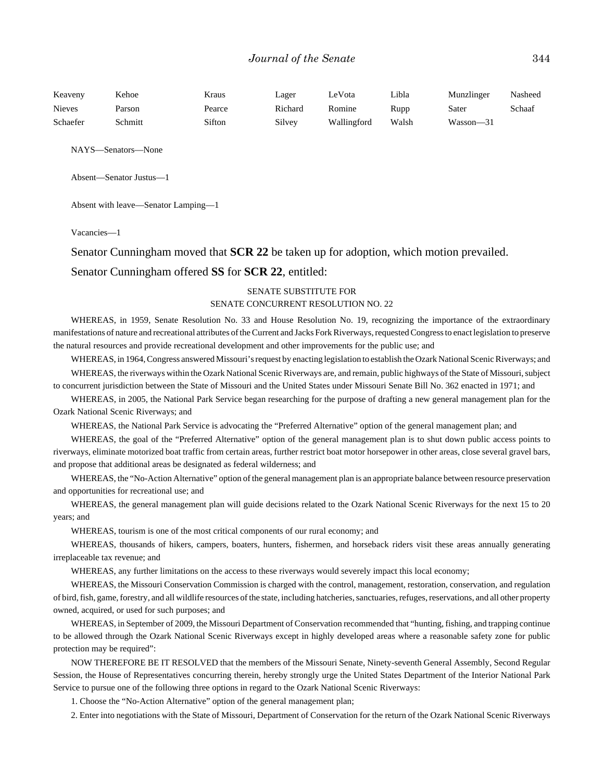| Keaveny       | Kehoe   | Kraus  | Lager   | LeVota      | Libla | Munzlinger | Nasheed |
|---------------|---------|--------|---------|-------------|-------|------------|---------|
| <b>Nieves</b> | Parson  | Pearce | Richard | Romine      | Rupp  | Sater      | Schaaf  |
| Schaefer      | Schmitt | Sifton | Silvey  | Wallingford | Walsh | Wasson—31  |         |

NAYS—Senators—None

Absent—Senator Justus—1

Absent with leave—Senator Lamping—1

Vacancies—1

Senator Cunningham moved that **SCR 22** be taken up for adoption, which motion prevailed.

#### Senator Cunningham offered **SS** for **SCR 22**, entitled:

#### SENATE SUBSTITUTE FOR SENATE CONCURRENT RESOLUTION NO. 22

WHEREAS, in 1959, Senate Resolution No. 33 and House Resolution No. 19, recognizing the importance of the extraordinary manifestations of nature and recreational attributes of the Current and Jacks Fork Riverways, requested Congress to enact legislation to preserve the natural resources and provide recreational development and other improvements for the public use; and

WHEREAS, in 1964, Congress answered Missouri's request by enacting legislation to establish the Ozark National Scenic Riverways; and WHEREAS, the riverways within the Ozark National Scenic Riverways are, and remain, public highways of the State of Missouri, subject to concurrent jurisdiction between the State of Missouri and the United States under Missouri Senate Bill No. 362 enacted in 1971; and

WHEREAS, in 2005, the National Park Service began researching for the purpose of drafting a new general management plan for the Ozark National Scenic Riverways; and

WHEREAS, the National Park Service is advocating the "Preferred Alternative" option of the general management plan; and

WHEREAS, the goal of the "Preferred Alternative" option of the general management plan is to shut down public access points to riverways, eliminate motorized boat traffic from certain areas, further restrict boat motor horsepower in other areas, close several gravel bars, and propose that additional areas be designated as federal wilderness; and

WHEREAS, the "No-Action Alternative" option of the general management plan is an appropriate balance between resource preservation and opportunities for recreational use; and

WHEREAS, the general management plan will guide decisions related to the Ozark National Scenic Riverways for the next 15 to 20 years; and

WHEREAS, tourism is one of the most critical components of our rural economy; and

WHEREAS, thousands of hikers, campers, boaters, hunters, fishermen, and horseback riders visit these areas annually generating irreplaceable tax revenue; and

WHEREAS, any further limitations on the access to these riverways would severely impact this local economy;

WHEREAS, the Missouri Conservation Commission is charged with the control, management, restoration, conservation, and regulation of bird, fish, game, forestry, and all wildlife resources of the state, including hatcheries, sanctuaries, refuges, reservations, and all other property owned, acquired, or used for such purposes; and

WHEREAS, in September of 2009, the Missouri Department of Conservation recommended that "hunting, fishing, and trapping continue to be allowed through the Ozark National Scenic Riverways except in highly developed areas where a reasonable safety zone for public protection may be required":

NOW THEREFORE BE IT RESOLVED that the members of the Missouri Senate, Ninety-seventh General Assembly, Second Regular Session, the House of Representatives concurring therein, hereby strongly urge the United States Department of the Interior National Park Service to pursue one of the following three options in regard to the Ozark National Scenic Riverways:

1. Choose the "No-Action Alternative" option of the general management plan;

2. Enter into negotiations with the State of Missouri, Department of Conservation for the return of the Ozark National Scenic Riverways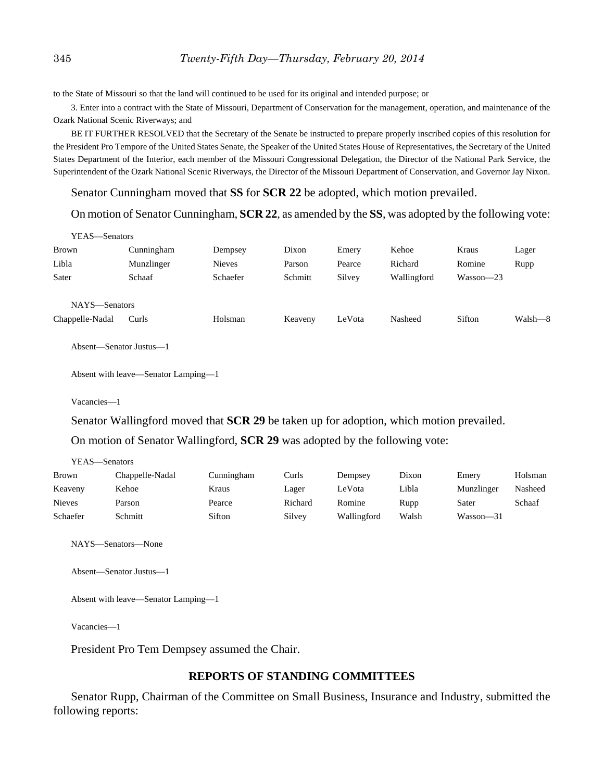to the State of Missouri so that the land will continued to be used for its original and intended purpose; or

3. Enter into a contract with the State of Missouri, Department of Conservation for the management, operation, and maintenance of the Ozark National Scenic Riverways; and

BE IT FURTHER RESOLVED that the Secretary of the Senate be instructed to prepare properly inscribed copies of this resolution for the President Pro Tempore of the United States Senate, the Speaker of the United States House of Representatives, the Secretary of the United States Department of the Interior, each member of the Missouri Congressional Delegation, the Director of the National Park Service, the Superintendent of the Ozark National Scenic Riverways, the Director of the Missouri Department of Conservation, and Governor Jay Nixon.

Senator Cunningham moved that **SS** for **SCR 22** be adopted, which motion prevailed.

On motion of Senator Cunningham, **SCR 22**, as amended by the **SS**, was adopted by the following vote:

| YEAS—Senators   |            |               |         |        |             |               |         |
|-----------------|------------|---------------|---------|--------|-------------|---------------|---------|
| <b>Brown</b>    | Cunningham | Dempsey       | Dixon   | Emery  | Kehoe       | Kraus         | Lager   |
| Libla           | Munzlinger | <b>Nieves</b> | Parson  | Pearce | Richard     | Romine        | Rupp    |
| Sater           | Schaaf     | Schaefer      | Schmitt | Silvey | Wallingford | $Wasson - 23$ |         |
|                 |            |               |         |        |             |               |         |
| NAYS-Senators   |            |               |         |        |             |               |         |
| Chappelle-Nadal | Curls      | Holsman       | Keaveny | LeVota | Nasheed     | Sifton        | Walsh-8 |
|                 |            |               |         |        |             |               |         |

Absent—Senator Justus—1

Absent with leave—Senator Lamping—1

Vacancies—1

Senator Wallingford moved that **SCR 29** be taken up for adoption, which motion prevailed.

On motion of Senator Wallingford, **SCR 29** was adopted by the following vote:

| YEAS—Senators |                 |            |         |             |       |            |         |
|---------------|-----------------|------------|---------|-------------|-------|------------|---------|
| Brown         | Chappelle-Nadal | Cunningham | Curls   | Dempsey     | Dixon | Emery      | Holsman |
| Keaveny       | Kehoe           | Kraus      | Lager   | LeVota      | Libla | Munzlinger | Nasheed |
| <b>Nieves</b> | Parson          | Pearce     | Richard | Romine      | Rupp  | Sater      | Schaaf  |
| Schaefer      | Schmitt         | Sifton     | Silvey  | Wallingford | Walsh | Wasson—31  |         |

NAYS—Senators—None

Absent—Senator Justus—1

Absent with leave—Senator Lamping—1

Vacancies—1

President Pro Tem Dempsey assumed the Chair.

#### **REPORTS OF STANDING COMMITTEES**

Senator Rupp, Chairman of the Committee on Small Business, Insurance and Industry, submitted the following reports: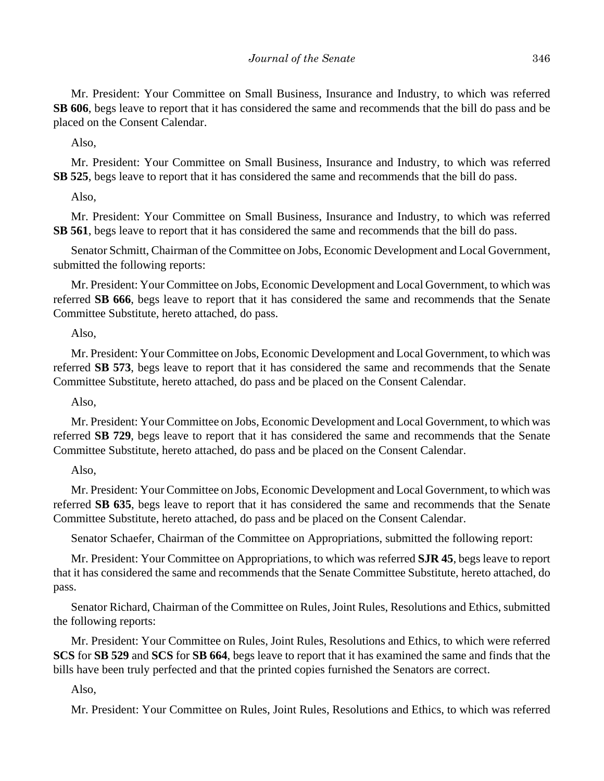Mr. President: Your Committee on Small Business, Insurance and Industry, to which was referred **SB 606**, begs leave to report that it has considered the same and recommends that the bill do pass and be placed on the Consent Calendar.

Also,

Mr. President: Your Committee on Small Business, Insurance and Industry, to which was referred **SB 525**, begs leave to report that it has considered the same and recommends that the bill do pass.

Also,

Mr. President: Your Committee on Small Business, Insurance and Industry, to which was referred **SB 561**, begs leave to report that it has considered the same and recommends that the bill do pass.

Senator Schmitt, Chairman of the Committee on Jobs, Economic Development and Local Government, submitted the following reports:

Mr. President: Your Committee on Jobs, Economic Development and Local Government, to which was referred **SB 666**, begs leave to report that it has considered the same and recommends that the Senate Committee Substitute, hereto attached, do pass.

#### Also,

Mr. President: Your Committee on Jobs, Economic Development and Local Government, to which was referred **SB 573**, begs leave to report that it has considered the same and recommends that the Senate Committee Substitute, hereto attached, do pass and be placed on the Consent Calendar.

Also,

Mr. President: Your Committee on Jobs, Economic Development and Local Government, to which was referred **SB 729**, begs leave to report that it has considered the same and recommends that the Senate Committee Substitute, hereto attached, do pass and be placed on the Consent Calendar.

#### Also,

Mr. President: Your Committee on Jobs, Economic Development and Local Government, to which was referred **SB 635**, begs leave to report that it has considered the same and recommends that the Senate Committee Substitute, hereto attached, do pass and be placed on the Consent Calendar.

Senator Schaefer, Chairman of the Committee on Appropriations, submitted the following report:

Mr. President: Your Committee on Appropriations, to which was referred **SJR 45**, begs leave to report that it has considered the same and recommends that the Senate Committee Substitute, hereto attached, do pass.

Senator Richard, Chairman of the Committee on Rules, Joint Rules, Resolutions and Ethics, submitted the following reports:

Mr. President: Your Committee on Rules, Joint Rules, Resolutions and Ethics, to which were referred **SCS** for **SB 529** and **SCS** for **SB 664**, begs leave to report that it has examined the same and finds that the bills have been truly perfected and that the printed copies furnished the Senators are correct.

### Also,

Mr. President: Your Committee on Rules, Joint Rules, Resolutions and Ethics, to which was referred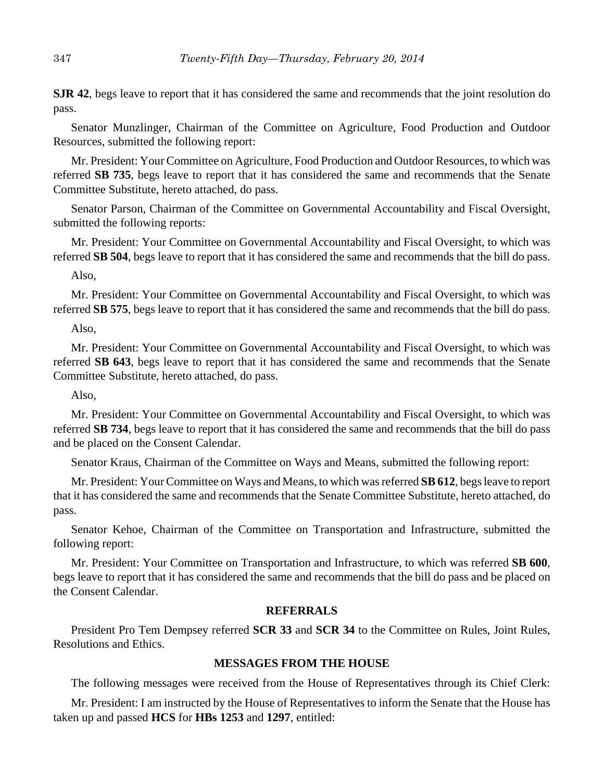**SJR 42**, begs leave to report that it has considered the same and recommends that the joint resolution do pass.

Senator Munzlinger, Chairman of the Committee on Agriculture, Food Production and Outdoor Resources, submitted the following report:

Mr. President: Your Committee on Agriculture, Food Production and Outdoor Resources, to which was referred **SB 735**, begs leave to report that it has considered the same and recommends that the Senate Committee Substitute, hereto attached, do pass.

Senator Parson, Chairman of the Committee on Governmental Accountability and Fiscal Oversight, submitted the following reports:

Mr. President: Your Committee on Governmental Accountability and Fiscal Oversight, to which was referred **SB 504**, begs leave to report that it has considered the same and recommends that the bill do pass.

Also,

Mr. President: Your Committee on Governmental Accountability and Fiscal Oversight, to which was referred **SB 575**, begs leave to report that it has considered the same and recommends that the bill do pass.

Also,

Mr. President: Your Committee on Governmental Accountability and Fiscal Oversight, to which was referred **SB 643**, begs leave to report that it has considered the same and recommends that the Senate Committee Substitute, hereto attached, do pass.

Also,

Mr. President: Your Committee on Governmental Accountability and Fiscal Oversight, to which was referred **SB 734**, begs leave to report that it has considered the same and recommends that the bill do pass and be placed on the Consent Calendar.

Senator Kraus, Chairman of the Committee on Ways and Means, submitted the following report:

Mr. President: Your Committee on Ways and Means, to which was referred **SB 612**, begs leave to report that it has considered the same and recommends that the Senate Committee Substitute, hereto attached, do pass.

Senator Kehoe, Chairman of the Committee on Transportation and Infrastructure, submitted the following report:

Mr. President: Your Committee on Transportation and Infrastructure, to which was referred **SB 600**, begs leave to report that it has considered the same and recommends that the bill do pass and be placed on the Consent Calendar.

#### **REFERRALS**

President Pro Tem Dempsey referred **SCR 33** and **SCR 34** to the Committee on Rules, Joint Rules, Resolutions and Ethics.

### **MESSAGES FROM THE HOUSE**

The following messages were received from the House of Representatives through its Chief Clerk:

Mr. President: I am instructed by the House of Representatives to inform the Senate that the House has taken up and passed **HCS** for **HBs 1253** and **1297**, entitled: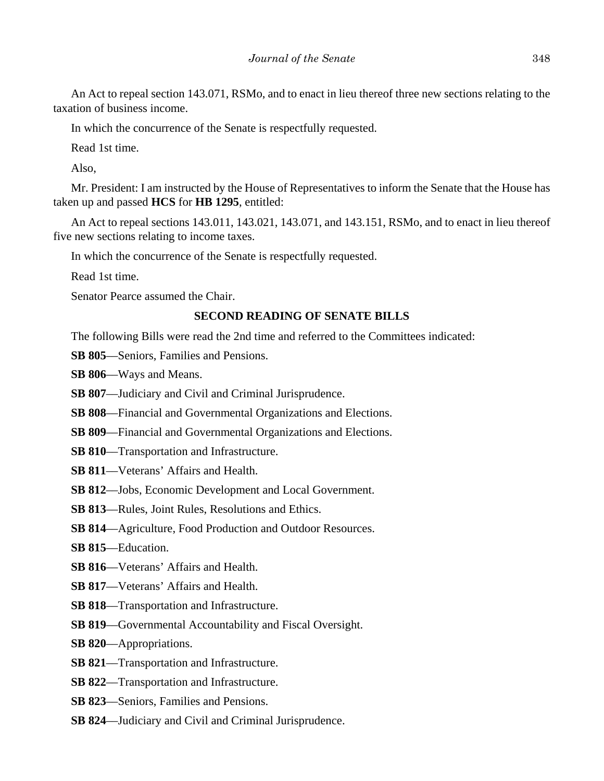An Act to repeal section 143.071, RSMo, and to enact in lieu thereof three new sections relating to the taxation of business income.

In which the concurrence of the Senate is respectfully requested.

Read 1st time.

Also,

Mr. President: I am instructed by the House of Representatives to inform the Senate that the House has taken up and passed **HCS** for **HB 1295**, entitled:

An Act to repeal sections 143.011, 143.021, 143.071, and 143.151, RSMo, and to enact in lieu thereof five new sections relating to income taxes.

In which the concurrence of the Senate is respectfully requested.

Read 1st time.

Senator Pearce assumed the Chair.

#### **SECOND READING OF SENATE BILLS**

The following Bills were read the 2nd time and referred to the Committees indicated:

**SB 805**––Seniors, Families and Pensions.

**SB 806**––Ways and Means.

**SB 807—Judiciary and Civil and Criminal Jurisprudence.** 

**SB 808**––Financial and Governmental Organizations and Elections.

- **SB 809**––Financial and Governmental Organizations and Elections.
- **SB 810**––Transportation and Infrastructure.
- **SB 811**––Veterans' Affairs and Health.
- **SB 812**––Jobs, Economic Development and Local Government.
- **SB 813**––Rules, Joint Rules, Resolutions and Ethics.
- **SB 814**––Agriculture, Food Production and Outdoor Resources.
- **SB 815**––Education.
- **SB 816**––Veterans' Affairs and Health.
- **SB 817**––Veterans' Affairs and Health.
- **SB 818**––Transportation and Infrastructure.
- **SB 819**—Governmental Accountability and Fiscal Oversight.
- **SB 820**––Appropriations.
- **SB 821**––Transportation and Infrastructure.
- **SB 822**––Transportation and Infrastructure.
- **SB 823**––Seniors, Families and Pensions.
- **SB 824**––Judiciary and Civil and Criminal Jurisprudence.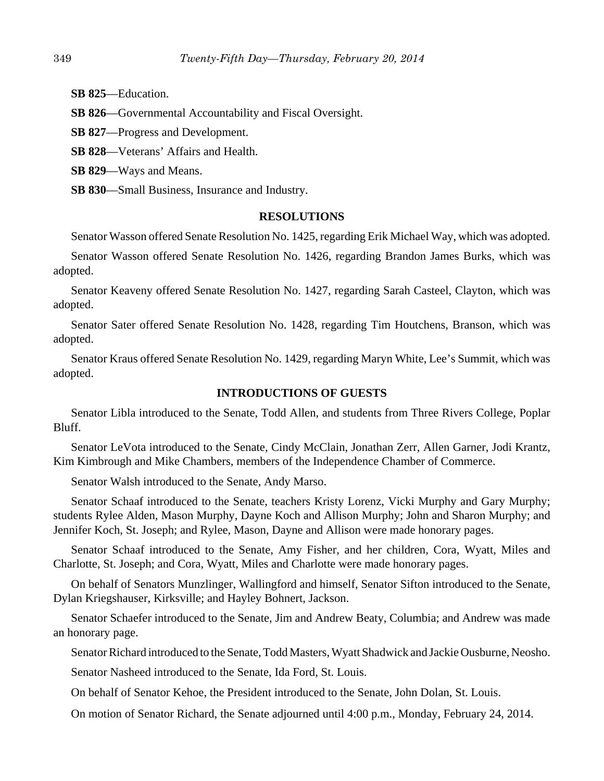**SB 825**––Education.

**SB 826**—Governmental Accountability and Fiscal Oversight.

**SB 827**––Progress and Development.

**SB 828**––Veterans' Affairs and Health.

**SB 829**––Ways and Means.

**SB 830**––Small Business, Insurance and Industry.

#### **RESOLUTIONS**

Senator Wasson offered Senate Resolution No. 1425, regarding Erik Michael Way, which was adopted.

Senator Wasson offered Senate Resolution No. 1426, regarding Brandon James Burks, which was adopted.

Senator Keaveny offered Senate Resolution No. 1427, regarding Sarah Casteel, Clayton, which was adopted.

Senator Sater offered Senate Resolution No. 1428, regarding Tim Houtchens, Branson, which was adopted.

Senator Kraus offered Senate Resolution No. 1429, regarding Maryn White, Lee's Summit, which was adopted.

#### **INTRODUCTIONS OF GUESTS**

Senator Libla introduced to the Senate, Todd Allen, and students from Three Rivers College, Poplar Bluff.

Senator LeVota introduced to the Senate, Cindy McClain, Jonathan Zerr, Allen Garner, Jodi Krantz, Kim Kimbrough and Mike Chambers, members of the Independence Chamber of Commerce.

Senator Walsh introduced to the Senate, Andy Marso.

Senator Schaaf introduced to the Senate, teachers Kristy Lorenz, Vicki Murphy and Gary Murphy; students Rylee Alden, Mason Murphy, Dayne Koch and Allison Murphy; John and Sharon Murphy; and Jennifer Koch, St. Joseph; and Rylee, Mason, Dayne and Allison were made honorary pages.

Senator Schaaf introduced to the Senate, Amy Fisher, and her children, Cora, Wyatt, Miles and Charlotte, St. Joseph; and Cora, Wyatt, Miles and Charlotte were made honorary pages.

On behalf of Senators Munzlinger, Wallingford and himself, Senator Sifton introduced to the Senate, Dylan Kriegshauser, Kirksville; and Hayley Bohnert, Jackson.

Senator Schaefer introduced to the Senate, Jim and Andrew Beaty, Columbia; and Andrew was made an honorary page.

Senator Richard introduced to the Senate, Todd Masters, Wyatt Shadwick and Jackie Ousburne, Neosho.

Senator Nasheed introduced to the Senate, Ida Ford, St. Louis.

On behalf of Senator Kehoe, the President introduced to the Senate, John Dolan, St. Louis.

On motion of Senator Richard, the Senate adjourned until 4:00 p.m., Monday, February 24, 2014.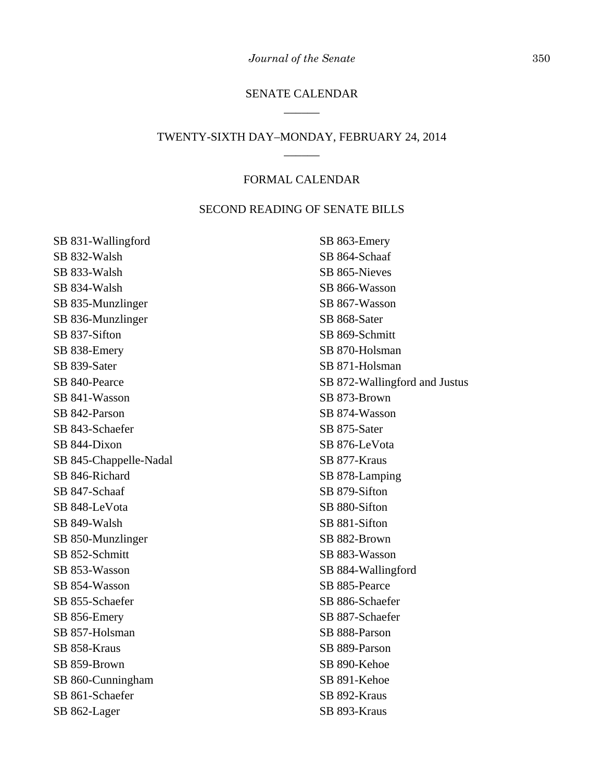### SENATE CALENDAR \_\_\_\_\_\_

### TWENTY-SIXTH DAY–MONDAY, FEBRUARY 24, 2014 \_\_\_\_\_\_

### FORMAL CALENDAR

#### SECOND READING OF SENATE BILLS

SB 831-Wallingford SB 832-Walsh SB 833-Walsh SB 834-Walsh SB 835-Munzlinger SB 836-Munzlinger SB 837-Sifton SB 838-Emery SB 839-Sater SB 840-Pearce SB 841-Wasson SB 842-Parson SB 843-Schaefer SB 844-Dixon SB 845-Chappelle-Nadal SB 846-Richard SB 847-Schaaf SB 848-LeVota SB 849-Walsh SB 850-Munzlinger SB 852-Schmitt SB 853-Wasson SB 854-Wasson SB 855-Schaefer SB 856-Emery SB 857-Holsman SB 858-Kraus SB 859-Brown SB 860-Cunningham SB 861-Schaefer SB 862-Lager

SB 863-Emery SB 864-Schaaf SB 865-Nieves SB 866-Wasson SB 867-Wasson SB 868-Sater SB 869-Schmitt SB 870-Holsman SB 871-Holsman SB 872-Wallingford and Justus SB 873-Brown SB 874-Wasson SB 875-Sater SB 876-LeVota SB 877-Kraus SB 878-Lamping SB 879-Sifton SB 880-Sifton SB 881-Sifton SB 882-Brown SB 883-Wasson SB 884-Wallingford SB 885-Pearce SB 886-Schaefer SB 887-Schaefer SB 888-Parson SB 889-Parson SB 890-Kehoe SB 891-Kehoe SB 892-Kraus SB 893-Kraus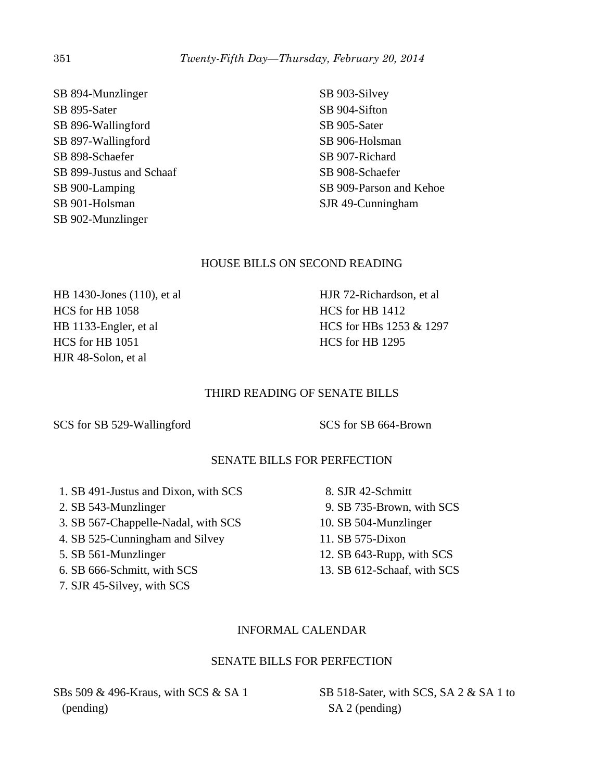SB 894-Munzlinger SB 895-Sater SB 896-Wallingford SB 897-Wallingford SB 898-Schaefer SB 899-Justus and Schaaf SB 900-Lamping SB 901-Holsman SB 902-Munzlinger

SB 903-Silvey SB 904-Sifton SB 905-Sater SB 906-Holsman SB 907-Richard SB 908-Schaefer SB 909-Parson and Kehoe SJR 49-Cunningham

### HOUSE BILLS ON SECOND READING

HB 1430-Jones (110), et al HCS for HB 1058 HB 1133-Engler, et al HCS for HB 1051 HJR 48-Solon, et al

HJR 72-Richardson, et al HCS for HB 1412 HCS for HBs 1253 & 1297 HCS for HB 1295

### THIRD READING OF SENATE BILLS

SCS for SB 529-Wallingford SCS for SB 664-Brown

### SENATE BILLS FOR PERFECTION

- 1. SB 491-Justus and Dixon, with SCS
- 2. SB 543-Munzlinger
- 3. SB 567-Chappelle-Nadal, with SCS
- 4. SB 525-Cunningham and Silvey
- 5. SB 561-Munzlinger
- 6. SB 666-Schmitt, with SCS
- 7. SJR 45-Silvey, with SCS
- 8. SJR 42-Schmitt 9. SB 735-Brown, with SCS 10. SB 504-Munzlinger 11. SB 575-Dixon 12. SB 643-Rupp, with SCS
- 13. SB 612-Schaaf, with SCS

### INFORMAL CALENDAR

### SENATE BILLS FOR PERFECTION

SBs 509 & 496-Kraus, with SCS & SA 1 (pending)

SB 518-Sater, with SCS, SA 2 & SA 1 to SA 2 (pending)